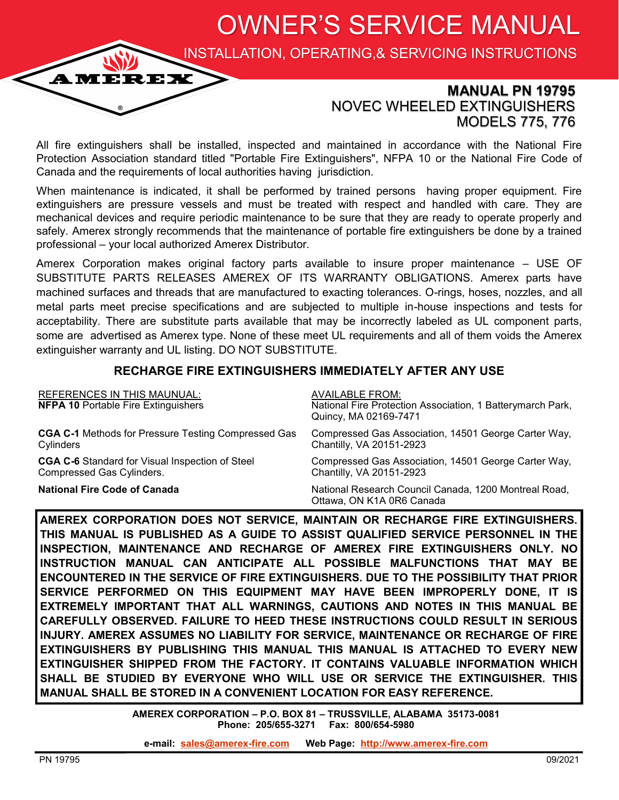OWNER'S SERVICE MANUAL

INSTALLATION, OPERATING,& SERVICING INSTRUCTIONS

## **MANUAL PN 19795** NOVEC WHEELED EXTINGUISHERS MODELS 775, 776

All fire extinguishers shall be installed, inspected and maintained in accordance with the National Fire Protection Association standard titled "Portable Fire Extinguishers", NFPA 10 or the National Fire Code of Canada and the requirements of local authorities having jurisdiction.

When maintenance is indicated, it shall be performed by trained persons having proper equipment. Fire extinguishers are pressure vessels and must be treated with respect and handled with care. They are mechanical devices and require periodic maintenance to be sure that they are ready to operate properly and safely. Amerex strongly recommends that the maintenance of portable fire extinguishers be done by a trained professional – your local authorized Amerex Distributor.

Amerex Corporation makes original factory parts available to insure proper maintenance – USE OF SUBSTITUTE PARTS RELEASES AMEREX OF ITS WARRANTY OBLIGATIONS. Amerex parts have machined surfaces and threads that are manufactured to exacting tolerances. O-rings, hoses, nozzles, and all metal parts meet precise specifications and are subjected to multiple in-house inspections and tests for acceptability. There are substitute parts available that may be incorrectly labeled as UL component parts, some are advertised as Amerex type. None of these meet UL requirements and all of them voids the Amerex extinguisher warranty and UL listing. DO NOT SUBSTITUTE.

### **RECHARGE FIRE EXTINGUISHERS IMMEDIATELY AFTER ANY USE**

| <b>REFERENCES IN THIS MAUNUAL:</b><br><b>NFPA 10 Portable Fire Extinguishers</b> | <b>AVAILABLE FROM:</b><br>National Fire Protection Association, 1 Batterymarch Park,<br>Quincy, MA 02169-7471 |
|----------------------------------------------------------------------------------|---------------------------------------------------------------------------------------------------------------|
| <b>CGA C-1</b> Methods for Pressure Testing Compressed Gas                       | Compressed Gas Association, 14501 George Carter Way,                                                          |
| Cylinders                                                                        | Chantilly, VA 20151-2923                                                                                      |
| <b>CGA C-6</b> Standard for Visual Inspection of Steel                           | Compressed Gas Association, 14501 George Carter Way,                                                          |
| Compressed Gas Cylinders.                                                        | Chantilly, VA 20151-2923                                                                                      |
| <b>National Fire Code of Canada</b>                                              | National Research Council Canada, 1200 Montreal Road,<br>Ottawa, ON K1A 0R6 Canada                            |

**AMEREX CORPORATION DOES NOT SERVICE, MAINTAIN OR RECHARGE FIRE EXTINGUISHERS. THIS MANUAL IS PUBLISHED AS A GUIDE TO ASSIST QUALIFIED SERVICE PERSONNEL IN THE INSPECTION, MAINTENANCE AND RECHARGE OF AMEREX FIRE EXTINGUISHERS ONLY. NO INSTRUCTION MANUAL CAN ANTICIPATE ALL POSSIBLE MALFUNCTIONS THAT MAY BE ENCOUNTERED IN THE SERVICE OF FIRE EXTINGUISHERS. DUE TO THE POSSIBILITY THAT PRIOR SERVICE PERFORMED ON THIS EQUIPMENT MAY HAVE BEEN IMPROPERLY DONE, IT IS EXTREMELY IMPORTANT THAT ALL WARNINGS, CAUTIONS AND NOTES IN THIS MANUAL BE CAREFULLY OBSERVED. FAILURE TO HEED THESE INSTRUCTIONS COULD RESULT IN SERIOUS INJURY. AMEREX ASSUMES NO LIABILITY FOR SERVICE, MAINTENANCE OR RECHARGE OF FIRE EXTINGUISHERS BY PUBLISHING THIS MANUAL THIS MANUAL IS ATTACHED TO EVERY NEW EXTINGUISHER SHIPPED FROM THE FACTORY. IT CONTAINS VALUABLE INFORMATION WHICH SHALL BE STUDIED BY EVERYONE WHO WILL USE OR SERVICE THE EXTINGUISHER. THIS MANUAL SHALL BE STORED IN A CONVENIENT LOCATION FOR EASY REFERENCE.**

> **AMEREX CORPORATION – P.O. BOX 81 – TRUSSVILLE, ALABAMA 35173-0081 Phone: 205/655-3271 Fax: 800/654-5980**

**e-mail: [sales@amerex](mailto:sales@amerex-fire.com)-fire.com Web Page: [http://www.amerex](http://www.amerex-fire.com)-fire.com**

**AMEREX**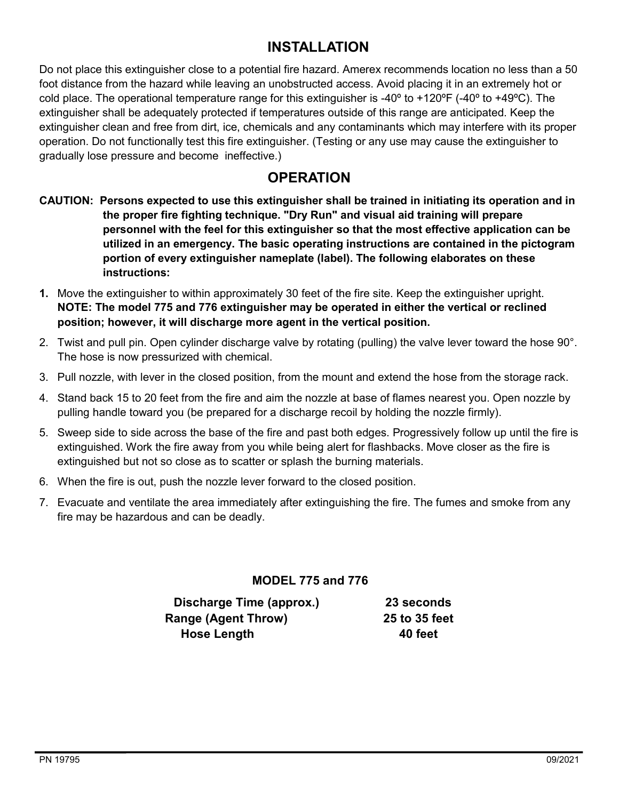# **INSTALLATION**

Do not place this extinguisher close to a potential fire hazard. Amerex recommends location no less than a 50 foot distance from the hazard while leaving an unobstructed access. Avoid placing it in an extremely hot or cold place. The operational temperature range for this extinguisher is -40 $\degree$  to +120 $\degree$ F (-40 $\degree$  to +49 $\degree$ C). The extinguisher shall be adequately protected if temperatures outside of this range are anticipated. Keep the extinguisher clean and free from dirt, ice, chemicals and any contaminants which may interfere with its proper operation. Do not functionally test this fire extinguisher. (Testing or any use may cause the extinguisher to gradually lose pressure and become ineffective.)

# **OPERATION**

- **CAUTION: Persons expected to use this extinguisher shall be trained in initiating its operation and in the proper fire fighting technique. "Dry Run" and visual aid training will prepare personnel with the feel for this extinguisher so that the most effective application can be utilized in an emergency. The basic operating instructions are contained in the pictogram portion of every extinguisher nameplate (label). The following elaborates on these instructions:**
- **1.** Move the extinguisher to within approximately 30 feet of the fire site. Keep the extinguisher upright. **NOTE: The model 775 and 776 extinguisher may be operated in either the vertical or reclined position; however, it will discharge more agent in the vertical position.**
- 2. Twist and pull pin. Open cylinder discharge valve by rotating (pulling) the valve lever toward the hose 90°. The hose is now pressurized with chemical.
- 3. Pull nozzle, with lever in the closed position, from the mount and extend the hose from the storage rack.
- 4. Stand back 15 to 20 feet from the fire and aim the nozzle at base of flames nearest you. Open nozzle by pulling handle toward you (be prepared for a discharge recoil by holding the nozzle firmly).
- 5. Sweep side to side across the base of the fire and past both edges. Progressively follow up until the fire is extinguished. Work the fire away from you while being alert for flashbacks. Move closer as the fire is extinguished but not so close as to scatter or splash the burning materials.
- 6. When the fire is out, push the nozzle lever forward to the closed position.
- 7. Evacuate and ventilate the area immediately after extinguishing the fire. The fumes and smoke from any fire may be hazardous and can be deadly.

### **MODEL 775 and 776**

| Discharge Time (approx.)   | 23 seconds    |
|----------------------------|---------------|
| <b>Range (Agent Throw)</b> | 25 to 35 feet |
| <b>Hose Length</b>         | 40 feet       |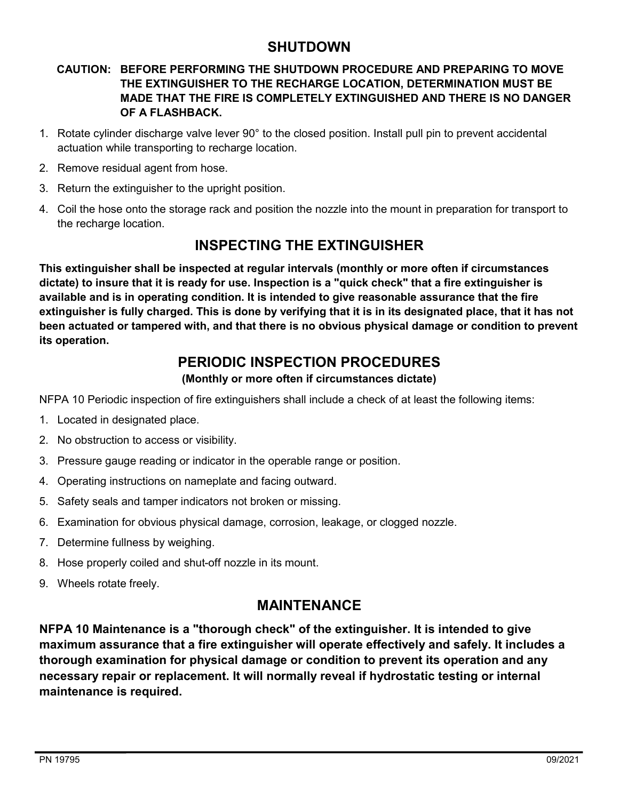## **SHUTDOWN**

### **CAUTION: BEFORE PERFORMING THE SHUTDOWN PROCEDURE AND PREPARING TO MOVE THE EXTINGUISHER TO THE RECHARGE LOCATION, DETERMINATION MUST BE MADE THAT THE FIRE IS COMPLETELY EXTINGUISHED AND THERE IS NO DANGER OF A FLASHBACK.**

- 1. Rotate cylinder discharge valve lever 90° to the closed position. Install pull pin to prevent accidental actuation while transporting to recharge location.
- 2. Remove residual agent from hose.
- 3. Return the extinguisher to the upright position.
- 4. Coil the hose onto the storage rack and position the nozzle into the mount in preparation for transport to the recharge location.

# **INSPECTING THE EXTINGUISHER**

**This extinguisher shall be inspected at regular intervals (monthly or more often if circumstances dictate) to insure that it is ready for use. Inspection is a "quick check" that a fire extinguisher is available and is in operating condition. It is intended to give reasonable assurance that the fire extinguisher is fully charged. This is done by verifying that it is in its designated place, that it has not been actuated or tampered with, and that there is no obvious physical damage or condition to prevent its operation.**

# **PERIODIC INSPECTION PROCEDURES**

### **(Monthly or more often if circumstances dictate)**

NFPA 10 Periodic inspection of fire extinguishers shall include a check of at least the following items:

- 1. Located in designated place.
- 2. No obstruction to access or visibility.
- 3. Pressure gauge reading or indicator in the operable range or position.
- 4. Operating instructions on nameplate and facing outward.
- 5. Safety seals and tamper indicators not broken or missing.
- 6. Examination for obvious physical damage, corrosion, leakage, or clogged nozzle.
- 7. Determine fullness by weighing.
- 8. Hose properly coiled and shut-off nozzle in its mount.
- 9. Wheels rotate freely.

## **MAINTENANCE**

**NFPA 10 Maintenance is a "thorough check" of the extinguisher. It is intended to give maximum assurance that a fire extinguisher will operate effectively and safely. It includes a thorough examination for physical damage or condition to prevent its operation and any necessary repair or replacement. It will normally reveal if hydrostatic testing or internal maintenance is required.**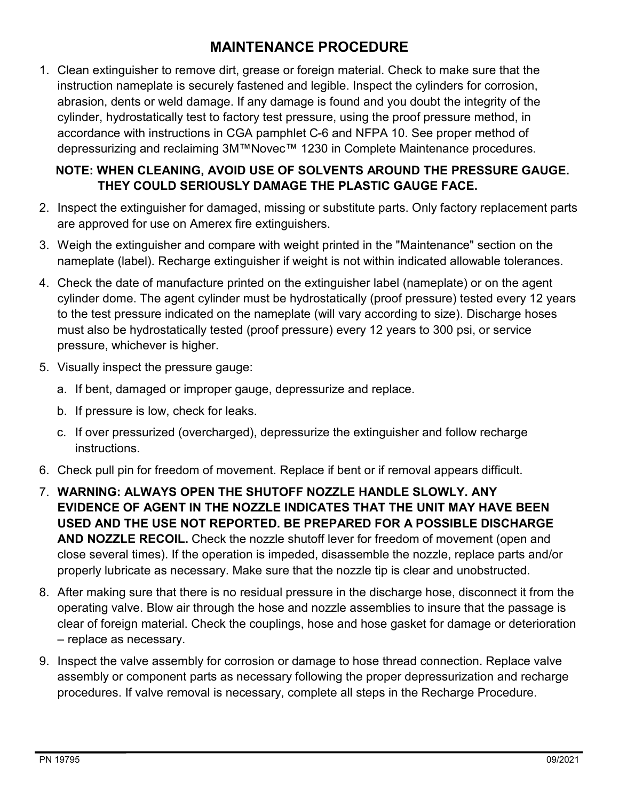# **MAINTENANCE PROCEDURE**

1. Clean extinguisher to remove dirt, grease or foreign material. Check to make sure that the instruction nameplate is securely fastened and legible. Inspect the cylinders for corrosion, abrasion, dents or weld damage. If any damage is found and you doubt the integrity of the cylinder, hydrostatically test to factory test pressure, using the proof pressure method, in accordance with instructions in CGA pamphlet C-6 and NFPA 10. See proper method of depressurizing and reclaiming 3M™Novec™ 1230 in Complete Maintenance procedures.

## **NOTE: WHEN CLEANING, AVOID USE OF SOLVENTS AROUND THE PRESSURE GAUGE. THEY COULD SERIOUSLY DAMAGE THE PLASTIC GAUGE FACE.**

- 2. Inspect the extinguisher for damaged, missing or substitute parts. Only factory replacement parts are approved for use on Amerex fire extinguishers.
- 3. Weigh the extinguisher and compare with weight printed in the "Maintenance" section on the nameplate (label). Recharge extinguisher if weight is not within indicated allowable tolerances.
- 4. Check the date of manufacture printed on the extinguisher label (nameplate) or on the agent cylinder dome. The agent cylinder must be hydrostatically (proof pressure) tested every 12 years to the test pressure indicated on the nameplate (will vary according to size). Discharge hoses must also be hydrostatically tested (proof pressure) every 12 years to 300 psi, or service pressure, whichever is higher.
- 5. Visually inspect the pressure gauge:
	- a. If bent, damaged or improper gauge, depressurize and replace.
	- b. If pressure is low, check for leaks.
	- c. If over pressurized (overcharged), depressurize the extinguisher and follow recharge instructions.
- 6. Check pull pin for freedom of movement. Replace if bent or if removal appears difficult.
- 7. **WARNING: ALWAYS OPEN THE SHUTOFF NOZZLE HANDLE SLOWLY. ANY EVIDENCE OF AGENT IN THE NOZZLE INDICATES THAT THE UNIT MAY HAVE BEEN USED AND THE USE NOT REPORTED. BE PREPARED FOR A POSSIBLE DISCHARGE AND NOZZLE RECOIL.** Check the nozzle shutoff lever for freedom of movement (open and close several times). If the operation is impeded, disassemble the nozzle, replace parts and/or properly lubricate as necessary. Make sure that the nozzle tip is clear and unobstructed.
- 8. After making sure that there is no residual pressure in the discharge hose, disconnect it from the operating valve. Blow air through the hose and nozzle assemblies to insure that the passage is clear of foreign material. Check the couplings, hose and hose gasket for damage or deterioration – replace as necessary.
- 9. Inspect the valve assembly for corrosion or damage to hose thread connection. Replace valve assembly or component parts as necessary following the proper depressurization and recharge procedures. If valve removal is necessary, complete all steps in the Recharge Procedure.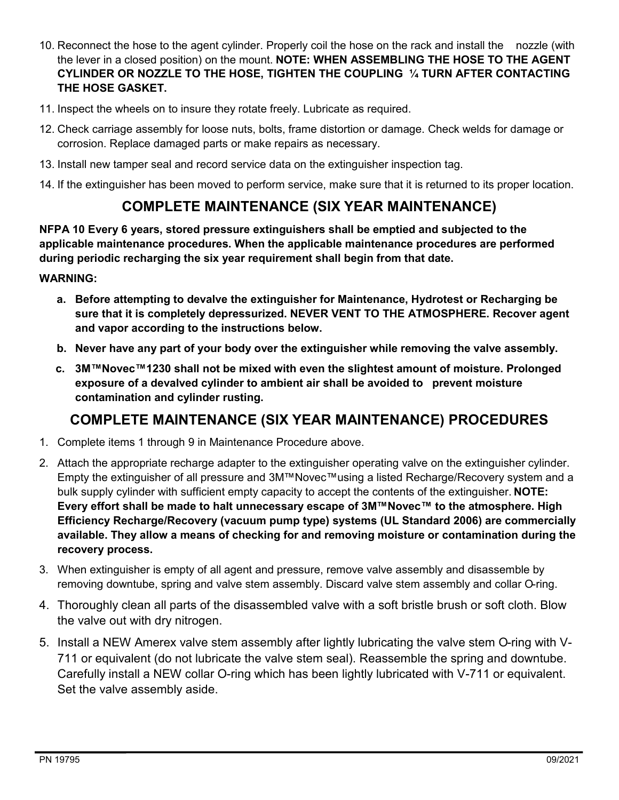- 10. Reconnect the hose to the agent cylinder. Properly coil the hose on the rack and install the nozzle (with the lever in a closed position) on the mount. **NOTE: WHEN ASSEMBLING THE HOSE TO THE AGENT CYLINDER OR NOZZLE TO THE HOSE, TIGHTEN THE COUPLING ¼ TURN AFTER CONTACTING THE HOSE GASKET.**
- 11. Inspect the wheels on to insure they rotate freely. Lubricate as required.
- 12. Check carriage assembly for loose nuts, bolts, frame distortion or damage. Check welds for damage or corrosion. Replace damaged parts or make repairs as necessary.
- 13. Install new tamper seal and record service data on the extinguisher inspection tag.
- 14. If the extinguisher has been moved to perform service, make sure that it is returned to its proper location.

# **COMPLETE MAINTENANCE (SIX YEAR MAINTENANCE)**

**NFPA 10 Every 6 years, stored pressure extinguishers shall be emptied and subjected to the applicable maintenance procedures. When the applicable maintenance procedures are performed during periodic recharging the six year requirement shall begin from that date.**

#### **WARNING:**

- **a. Before attempting to devalve the extinguisher for Maintenance, Hydrotest or Recharging be sure that it is completely depressurized. NEVER VENT TO THE ATMOSPHERE. Recover agent and vapor according to the instructions below.**
- **b. Never have any part of your body over the extinguisher while removing the valve assembly.**
- **c. 3M™Novec™1230 shall not be mixed with even the slightest amount of moisture. Prolonged exposure of a devalved cylinder to ambient air shall be avoided to prevent moisture contamination and cylinder rusting.**

# **COMPLETE MAINTENANCE (SIX YEAR MAINTENANCE) PROCEDURES**

- 1. Complete items 1 through 9 in Maintenance Procedure above.
- 2. Attach the appropriate recharge adapter to the extinguisher operating valve on the extinguisher cylinder. Empty the extinguisher of all pressure and 3M™Novec™using a listed Recharge/Recovery system and a bulk supply cylinder with sufficient empty capacity to accept the contents of the extinguisher. **NOTE: Every effort shall be made to halt unnecessary escape of 3M™Novec™ to the atmosphere. High Efficiency Recharge/Recovery (vacuum pump type) systems (UL Standard 2006) are commercially available. They allow a means of checking for and removing moisture or contamination during the recovery process.**
- 3. When extinguisher is empty of all agent and pressure, remove valve assembly and disassemble by removing downtube, spring and valve stem assembly. Discard valve stem assembly and collar O-ring.
- 4. Thoroughly clean all parts of the disassembled valve with a soft bristle brush or soft cloth. Blow the valve out with dry nitrogen.
- 5. Install a NEW Amerex valve stem assembly after lightly lubricating the valve stem O-ring with V-711 or equivalent (do not lubricate the valve stem seal). Reassemble the spring and downtube. Carefully install a NEW collar O-ring which has been lightly lubricated with V-711 or equivalent. Set the valve assembly aside.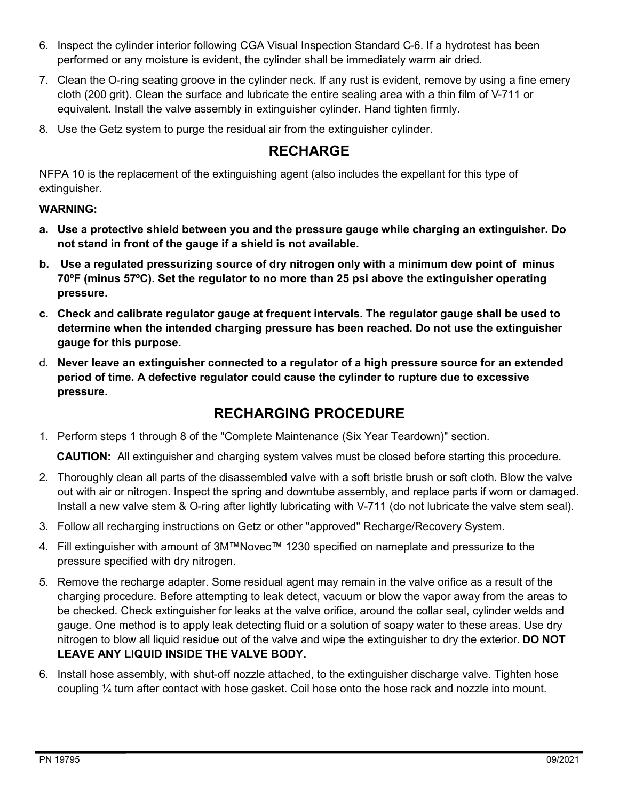- 6. Inspect the cylinder interior following CGA Visual Inspection Standard C-6. If a hydrotest has been performed or any moisture is evident, the cylinder shall be immediately warm air dried.
- 7. Clean the O-ring seating groove in the cylinder neck. If any rust is evident, remove by using a fine emery cloth (200 grit). Clean the surface and lubricate the entire sealing area with a thin film of V-711 or equivalent. Install the valve assembly in extinguisher cylinder. Hand tighten firmly.
- 8. Use the Getz system to purge the residual air from the extinguisher cylinder.

# **RECHARGE**

NFPA 10 is the replacement of the extinguishing agent (also includes the expellant for this type of extinguisher.

### **WARNING:**

- **a. Use a protective shield between you and the pressure gauge while charging an extinguisher. Do not stand in front of the gauge if a shield is not available.**
- **b. Use a regulated pressurizing source of dry nitrogen only with a minimum dew point of minus 70ºF (minus 57ºC). Set the regulator to no more than 25 psi above the extinguisher operating pressure.**
- **c. Check and calibrate regulator gauge at frequent intervals. The regulator gauge shall be used to determine when the intended charging pressure has been reached. Do not use the extinguisher gauge for this purpose.**
- d. **Never leave an extinguisher connected to a regulator of a high pressure source for an extended period of time. A defective regulator could cause the cylinder to rupture due to excessive pressure.**

## **RECHARGING PROCEDURE**

1. Perform steps 1 through 8 of the "Complete Maintenance (Six Year Teardown)" section.

**CAUTION:** All extinguisher and charging system valves must be closed before starting this procedure.

- 2. Thoroughly clean all parts of the disassembled valve with a soft bristle brush or soft cloth. Blow the valve out with air or nitrogen. Inspect the spring and downtube assembly, and replace parts if worn or damaged. Install a new valve stem & O-ring after lightly lubricating with V-711 (do not lubricate the valve stem seal).
- 3. Follow all recharging instructions on Getz or other "approved" Recharge/Recovery System.
- 4. Fill extinguisher with amount of 3M™Novec™ 1230 specified on nameplate and pressurize to the pressure specified with dry nitrogen.
- 5. Remove the recharge adapter. Some residual agent may remain in the valve orifice as a result of the charging procedure. Before attempting to leak detect, vacuum or blow the vapor away from the areas to be checked. Check extinguisher for leaks at the valve orifice, around the collar seal, cylinder welds and gauge. One method is to apply leak detecting fluid or a solution of soapy water to these areas. Use dry nitrogen to blow all liquid residue out of the valve and wipe the extinguisher to dry the exterior. **DO NOT LEAVE ANY LIQUID INSIDE THE VALVE BODY.**
- 6. Install hose assembly, with shut-off nozzle attached, to the extinguisher discharge valve. Tighten hose coupling ¼ turn after contact with hose gasket. Coil hose onto the hose rack and nozzle into mount.